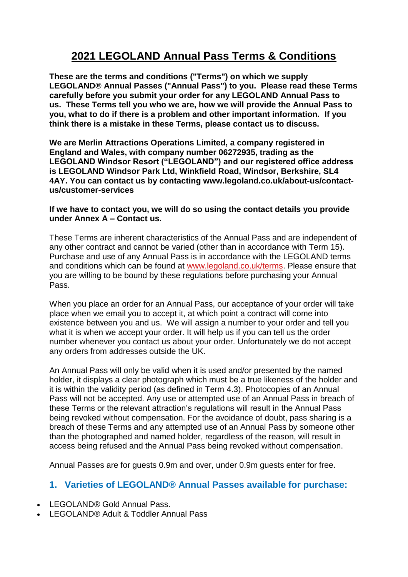# **2021 LEGOLAND Annual Pass Terms & Conditions**

**These are the terms and conditions ("Terms") on which we supply LEGOLAND® Annual Passes ("Annual Pass") to you. Please read these Terms carefully before you submit your order for any LEGOLAND Annual Pass to us. These Terms tell you who we are, how we will provide the Annual Pass to you, what to do if there is a problem and other important information. If you think there is a mistake in these Terms, please contact us to discuss.**

**We are Merlin Attractions Operations Limited, a company registered in England and Wales, with company number 06272935, trading as the LEGOLAND Windsor Resort ("LEGOLAND") and our registered office address is LEGOLAND Windsor Park Ltd, Winkfield Road, Windsor, Berkshire, SL4 4AY. You can contact us by contacting www.legoland.co.uk/about-us/contactus/customer-services**

#### **If we have to contact you, we will do so using the contact details you provide under Annex A – Contact us.**

These Terms are inherent characteristics of the Annual Pass and are independent of any other contract and cannot be varied (other than in accordance with Term 15). Purchase and use of any Annual Pass is in accordance with the LEGOLAND terms and conditions which can be found at [www.legoland.co.uk/terms.](https://www.legoland.co.uk/tickets-and-passes/terms-and-conditions/park/) Please ensure that you are willing to be bound by these regulations before purchasing your Annual Pass.

When you place an order for an Annual Pass, our acceptance of your order will take place when we email you to accept it, at which point a contract will come into existence between you and us. We will assign a number to your order and tell you what it is when we accept your order. It will help us if you can tell us the order number whenever you contact us about your order. Unfortunately we do not accept any orders from addresses outside the UK.

An Annual Pass will only be valid when it is used and/or presented by the named holder, it displays a clear photograph which must be a true likeness of the holder and it is within the validity period (as defined in Term 4.3). Photocopies of an Annual Pass will not be accepted. Any use or attempted use of an Annual Pass in breach of these Terms or the relevant attraction's regulations will result in the Annual Pass being revoked without compensation. For the avoidance of doubt, pass sharing is a breach of these Terms and any attempted use of an Annual Pass by someone other than the photographed and named holder, regardless of the reason, will result in access being refused and the Annual Pass being revoked without compensation.

Annual Passes are for guests 0.9m and over, under 0.9m guests enter for free.

# **1. Varieties of LEGOLAND® Annual Passes available for purchase:**

- LEGOLAND® Gold Annual Pass.
- LEGOLAND® Adult & Toddler Annual Pass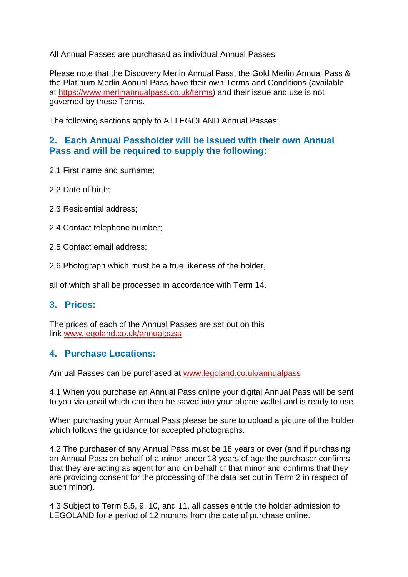All Annual Passes are purchased as individual Annual Passes.

Please note that the Discovery Merlin Annual Pass, the Gold Merlin Annual Pass & the Platinum Merlin Annual Pass have their own Terms and Conditions (available at [https://www.merlinannualpass.co.uk/terms\)](https://www.merlinannualpass.co.uk/terms) and their issue and use is not governed by these Terms.

The following sections apply to All LEGOLAND Annual Passes:

### **2. Each Annual Passholder will be issued with their own Annual Pass and will be required to supply the following:**

- 2.1 First name and surname;
- 2.2 Date of birth;
- 2.3 Residential address;
- 2.4 Contact telephone number;
- 2.5 Contact email address;
- 2.6 Photograph which must be a true likeness of the holder,

all of which shall be processed in accordance with Term 14.

### **3. Prices:**

The prices of each of the Annual Passes are set out on this link [www.legoland.co.uk/annualpass](http://www.legoland.co.uk/annualpass)

### **4. Purchase Locations:**

Annual Passes can be purchased at [www.legoland.co.uk/annualpass](http://www.legoland.co.uk/annualpass)

4.1 When you purchase an Annual Pass online your digital Annual Pass will be sent to you via email which can then be saved into your phone wallet and is ready to use.

When purchasing your Annual Pass please be sure to upload a picture of the holder which follows the guidance for accepted photographs.

4.2 The purchaser of any Annual Pass must be 18 years or over (and if purchasing an Annual Pass on behalf of a minor under 18 years of age the purchaser confirms that they are acting as agent for and on behalf of that minor and confirms that they are providing consent for the processing of the data set out in Term 2 in respect of such minor).

4.3 Subject to Term 5.5, 9, 10, and 11, all passes entitle the holder admission to LEGOLAND for a period of 12 months from the date of purchase online.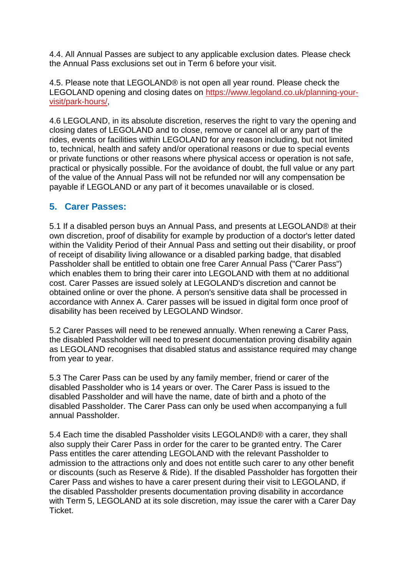4.4. All Annual Passes are subject to any applicable exclusion dates. Please check the Annual Pass exclusions set out in Term 6 before your visit.

4.5. Please note that LEGOLAND® is not open all year round. Please check the LEGOLAND opening and closing dates on [https://www.legoland.co.uk/planning-your](https://www.legoland.co.uk/planning-your-visit/park-hours/)[visit/park-hours/,](https://www.legoland.co.uk/planning-your-visit/park-hours/)

4.6 LEGOLAND, in its absolute discretion, reserves the right to vary the opening and closing dates of LEGOLAND and to close, remove or cancel all or any part of the rides, events or facilities within LEGOLAND for any reason including, but not limited to, technical, health and safety and/or operational reasons or due to special events or private functions or other reasons where physical access or operation is not safe, practical or physically possible. For the avoidance of doubt, the full value or any part of the value of the Annual Pass will not be refunded nor will any compensation be payable if LEGOLAND or any part of it becomes unavailable or is closed.

# **5. Carer Passes:**

5.1 If a disabled person buys an Annual Pass, and presents at LEGOLAND® at their own discretion, proof of disability for example by production of a doctor's letter dated within the Validity Period of their Annual Pass and setting out their disability, or proof of receipt of disability living allowance or a disabled parking badge, that disabled Passholder shall be entitled to obtain one free Carer Annual Pass ("Carer Pass") which enables them to bring their carer into LEGOLAND with them at no additional cost. Carer Passes are issued solely at LEGOLAND's discretion and cannot be obtained online or over the phone. A person's sensitive data shall be processed in accordance with Annex A. Carer passes will be issued in digital form once proof of disability has been received by LEGOLAND Windsor.

5.2 Carer Passes will need to be renewed annually. When renewing a Carer Pass, the disabled Passholder will need to present documentation proving disability again as LEGOLAND recognises that disabled status and assistance required may change from year to year.

5.3 The Carer Pass can be used by any family member, friend or carer of the disabled Passholder who is 14 years or over. The Carer Pass is issued to the disabled Passholder and will have the name, date of birth and a photo of the disabled Passholder. The Carer Pass can only be used when accompanying a full annual Passholder.

5.4 Each time the disabled Passholder visits LEGOLAND® with a carer, they shall also supply their Carer Pass in order for the carer to be granted entry. The Carer Pass entitles the carer attending LEGOLAND with the relevant Passholder to admission to the attractions only and does not entitle such carer to any other benefit or discounts (such as Reserve & Ride). If the disabled Passholder has forgotten their Carer Pass and wishes to have a carer present during their visit to LEGOLAND, if the disabled Passholder presents documentation proving disability in accordance with Term 5, LEGOLAND at its sole discretion, may issue the carer with a Carer Day Ticket.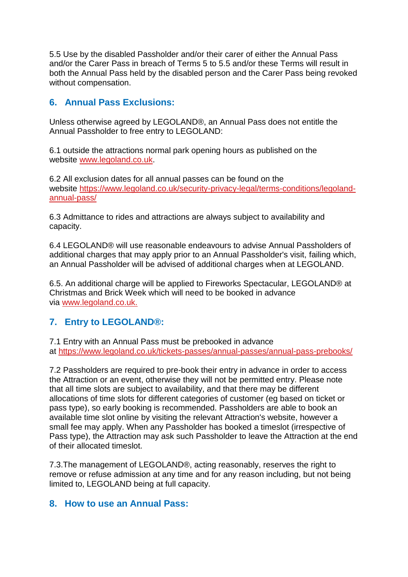5.5 Use by the disabled Passholder and/or their carer of either the Annual Pass and/or the Carer Pass in breach of Terms 5 to 5.5 and/or these Terms will result in both the Annual Pass held by the disabled person and the Carer Pass being revoked without compensation.

# **6. Annual Pass Exclusions:**

Unless otherwise agreed by LEGOLAND®, an Annual Pass does not entitle the Annual Passholder to free entry to LEGOLAND:

6.1 outside the attractions normal park opening hours as published on the website [www.legoland.co.uk.](http://www.legoland.co.uk/)

6.2 All exclusion dates for all annual passes can be found on the website [https://www.legoland.co.uk/security-privacy-legal/terms-conditions/legoland](https://www.legoland.co.uk/security-privacy-legal/terms-conditions/legoland-annual-pass/)[annual-pass/](https://www.legoland.co.uk/security-privacy-legal/terms-conditions/legoland-annual-pass/)

6.3 Admittance to rides and attractions are always subject to availability and capacity.

6.4 LEGOLAND® will use reasonable endeavours to advise Annual Passholders of additional charges that may apply prior to an Annual Passholder's visit, failing which, an Annual Passholder will be advised of additional charges when at LEGOLAND.

6.5. An additional charge will be applied to Fireworks Spectacular, LEGOLAND® at Christmas and Brick Week which will need to be booked in advance via [www.legoland.co.uk.](http://www.legoland.co.uk/)

### **7. Entry to LEGOLAND®:**

7.1 Entry with an Annual Pass must be prebooked in advance at <https://www.legoland.co.uk/tickets-passes/annual-passes/annual-pass-prebooks/>

7.2 Passholders are required to pre-book their entry in advance in order to access the Attraction or an event, otherwise they will not be permitted entry. Please note that all time slots are subject to availability, and that there may be different allocations of time slots for different categories of customer (eg based on ticket or pass type), so early booking is recommended. Passholders are able to book an available time slot online by visiting the relevant Attraction's website, however a small fee may apply. When any Passholder has booked a timeslot (irrespective of Pass type), the Attraction may ask such Passholder to leave the Attraction at the end of their allocated timeslot.

7.3.The management of LEGOLAND®, acting reasonably, reserves the right to remove or refuse admission at any time and for any reason including, but not being limited to, LEGOLAND being at full capacity.

### **8. How to use an Annual Pass:**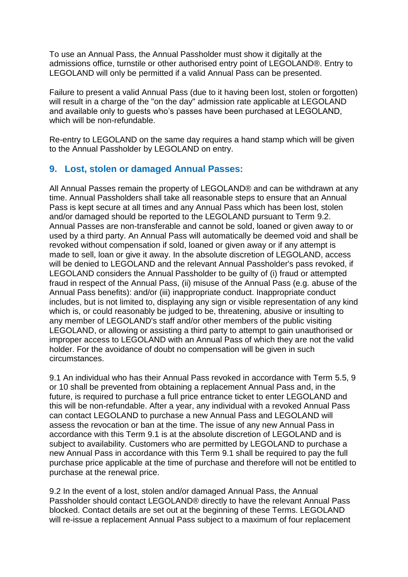To use an Annual Pass, the Annual Passholder must show it digitally at the admissions office, turnstile or other authorised entry point of LEGOLAND®. Entry to LEGOLAND will only be permitted if a valid Annual Pass can be presented.

Failure to present a valid Annual Pass (due to it having been lost, stolen or forgotten) will result in a charge of the "on the day" admission rate applicable at LEGOLAND and available only to guests who's passes have been purchased at LEGOLAND, which will be non-refundable.

Re-entry to LEGOLAND on the same day requires a hand stamp which will be given to the Annual Passholder by LEGOLAND on entry.

### **9. Lost, stolen or damaged Annual Passes:**

All Annual Passes remain the property of LEGOLAND® and can be withdrawn at any time. Annual Passholders shall take all reasonable steps to ensure that an Annual Pass is kept secure at all times and any Annual Pass which has been lost, stolen and/or damaged should be reported to the LEGOLAND pursuant to Term 9.2. Annual Passes are non-transferable and cannot be sold, loaned or given away to or used by a third party. An Annual Pass will automatically be deemed void and shall be revoked without compensation if sold, loaned or given away or if any attempt is made to sell, loan or give it away. In the absolute discretion of LEGOLAND, access will be denied to LEGOLAND and the relevant Annual Passholder's pass revoked, if LEGOLAND considers the Annual Passholder to be guilty of (i) fraud or attempted fraud in respect of the Annual Pass, (ii) misuse of the Annual Pass (e.g. abuse of the Annual Pass benefits): and/or (iii) inappropriate conduct. Inappropriate conduct includes, but is not limited to, displaying any sign or visible representation of any kind which is, or could reasonably be judged to be, threatening, abusive or insulting to any member of LEGOLAND's staff and/or other members of the public visiting LEGOLAND, or allowing or assisting a third party to attempt to gain unauthorised or improper access to LEGOLAND with an Annual Pass of which they are not the valid holder. For the avoidance of doubt no compensation will be given in such circumstances.

9.1 An individual who has their Annual Pass revoked in accordance with Term 5.5, 9 or 10 shall be prevented from obtaining a replacement Annual Pass and, in the future, is required to purchase a full price entrance ticket to enter LEGOLAND and this will be non-refundable. After a year, any individual with a revoked Annual Pass can contact LEGOLAND to purchase a new Annual Pass and LEGOLAND will assess the revocation or ban at the time. The issue of any new Annual Pass in accordance with this Term 9.1 is at the absolute discretion of LEGOLAND and is subject to availability. Customers who are permitted by LEGOLAND to purchase a new Annual Pass in accordance with this Term 9.1 shall be required to pay the full purchase price applicable at the time of purchase and therefore will not be entitled to purchase at the renewal price.

9.2 In the event of a lost, stolen and/or damaged Annual Pass, the Annual Passholder should contact LEGOLAND® directly to have the relevant Annual Pass blocked. Contact details are set out at the beginning of these Terms. LEGOLAND will re-issue a replacement Annual Pass subject to a maximum of four replacement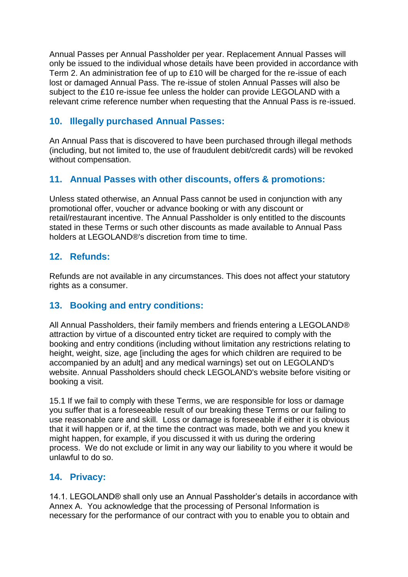Annual Passes per Annual Passholder per year. Replacement Annual Passes will only be issued to the individual whose details have been provided in accordance with Term 2. An administration fee of up to £10 will be charged for the re-issue of each lost or damaged Annual Pass. The re-issue of stolen Annual Passes will also be subject to the £10 re-issue fee unless the holder can provide LEGOLAND with a relevant crime reference number when requesting that the Annual Pass is re-issued.

# **10. Illegally purchased Annual Passes:**

An Annual Pass that is discovered to have been purchased through illegal methods (including, but not limited to, the use of fraudulent debit/credit cards) will be revoked without compensation.

# **11. Annual Passes with other discounts, offers & promotions:**

Unless stated otherwise, an Annual Pass cannot be used in conjunction with any promotional offer, voucher or advance booking or with any discount or retail/restaurant incentive. The Annual Passholder is only entitled to the discounts stated in these Terms or such other discounts as made available to Annual Pass holders at LEGOLAND®'s discretion from time to time.

### **12. Refunds:**

Refunds are not available in any circumstances. This does not affect your statutory rights as a consumer.

### **13. Booking and entry conditions:**

All Annual Passholders, their family members and friends entering a LEGOLAND® attraction by virtue of a discounted entry ticket are required to comply with the booking and entry conditions (including without limitation any restrictions relating to height, weight, size, age [including the ages for which children are required to be accompanied by an adult] and any medical warnings) set out on LEGOLAND's website. Annual Passholders should check LEGOLAND's website before visiting or booking a visit.

15.1 If we fail to comply with these Terms, we are responsible for loss or damage you suffer that is a foreseeable result of our breaking these Terms or our failing to use reasonable care and skill. Loss or damage is foreseeable if either it is obvious that it will happen or if, at the time the contract was made, both we and you knew it might happen, for example, if you discussed it with us during the ordering process. We do not exclude or limit in any way our liability to you where it would be unlawful to do so.

### **14. Privacy:**

14.1. LEGOLAND® shall only use an Annual Passholder's details in accordance with Annex A. You acknowledge that the processing of Personal Information is necessary for the performance of our contract with you to enable you to obtain and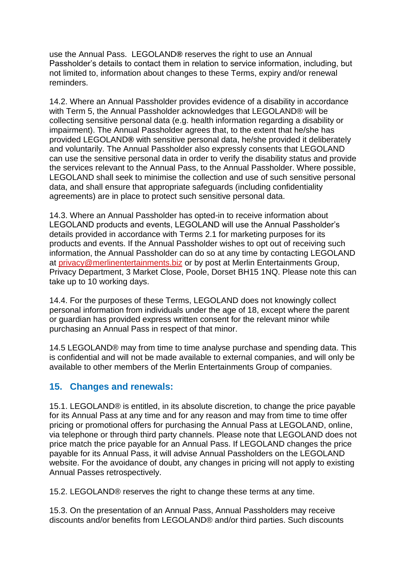use the Annual Pass. LEGOLAND**®** reserves the right to use an Annual Passholder's details to contact them in relation to service information, including, but not limited to, information about changes to these Terms, expiry and/or renewal reminders.

14.2. Where an Annual Passholder provides evidence of a disability in accordance with Term 5, the Annual Passholder acknowledges that LEGOLAND® will be collecting sensitive personal data (e.g. health information regarding a disability or impairment). The Annual Passholder agrees that, to the extent that he/she has provided LEGOLAND**®** with sensitive personal data, he/she provided it deliberately and voluntarily. The Annual Passholder also expressly consents that LEGOLAND can use the sensitive personal data in order to verify the disability status and provide the services relevant to the Annual Pass, to the Annual Passholder. Where possible, LEGOLAND shall seek to minimise the collection and use of such sensitive personal data, and shall ensure that appropriate safeguards (including confidentiality agreements) are in place to protect such sensitive personal data.

14.3. Where an Annual Passholder has opted-in to receive information about LEGOLAND products and events, LEGOLAND will use the Annual Passholder's details provided in accordance with Terms 2.1 for marketing purposes for its products and events. If the Annual Passholder wishes to opt out of receiving such information, the Annual Passholder can do so at any time by contacting LEGOLAND at [privacy@merlinentertainments.biz](mailto:privacy@merlinentertainments.biz) or by post at Merlin Entertainments Group, Privacy Department, 3 Market Close, Poole, Dorset BH15 1NQ. Please note this can take up to 10 working days.

14.4. For the purposes of these Terms, LEGOLAND does not knowingly collect personal information from individuals under the age of 18, except where the parent or guardian has provided express written consent for the relevant minor while purchasing an Annual Pass in respect of that minor.

14.5 LEGOLAND® may from time to time analyse purchase and spending data. This is confidential and will not be made available to external companies, and will only be available to other members of the Merlin Entertainments Group of companies.

#### **15. Changes and renewals:**

15.1. LEGOLAND® is entitled, in its absolute discretion, to change the price payable for its Annual Pass at any time and for any reason and may from time to time offer pricing or promotional offers for purchasing the Annual Pass at LEGOLAND, online, via telephone or through third party channels. Please note that LEGOLAND does not price match the price payable for an Annual Pass. If LEGOLAND changes the price payable for its Annual Pass, it will advise Annual Passholders on the LEGOLAND website. For the avoidance of doubt, any changes in pricing will not apply to existing Annual Passes retrospectively.

15.2. LEGOLAND® reserves the right to change these terms at any time.

15.3. On the presentation of an Annual Pass, Annual Passholders may receive discounts and/or benefits from LEGOLAND® and/or third parties. Such discounts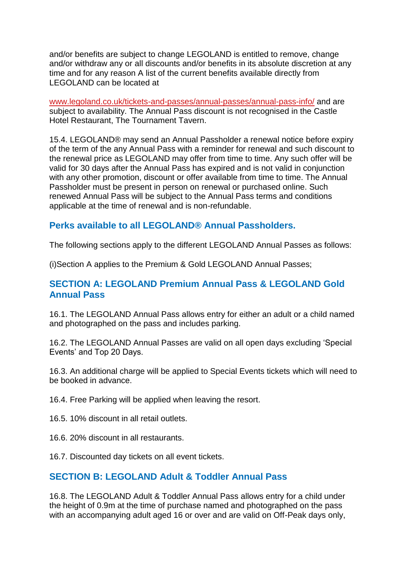and/or benefits are subject to change LEGOLAND is entitled to remove, change and/or withdraw any or all discounts and/or benefits in its absolute discretion at any time and for any reason A list of the current benefits available directly from LEGOLAND can be located at

[www.legoland.co.uk/tickets-and-passes/annual-passes/annual-pass-info/](http://www.legoland.co.uk/tickets-and-passes/annual-passes/annual-pass-info/) and are subject to availability. The Annual Pass discount is not recognised in the Castle Hotel Restaurant, The Tournament Tavern.

15.4. LEGOLAND® may send an Annual Passholder a renewal notice before expiry of the term of the any Annual Pass with a reminder for renewal and such discount to the renewal price as LEGOLAND may offer from time to time. Any such offer will be valid for 30 days after the Annual Pass has expired and is not valid in conjunction with any other promotion, discount or offer available from time to time. The Annual Passholder must be present in person on renewal or purchased online. Such renewed Annual Pass will be subject to the Annual Pass terms and conditions applicable at the time of renewal and is non-refundable.

### **Perks available to all LEGOLAND® Annual Passholders.**

The following sections apply to the different LEGOLAND Annual Passes as follows:

(i)Section A applies to the Premium & Gold LEGOLAND Annual Passes;

#### **SECTION A: LEGOLAND Premium Annual Pass & LEGOLAND Gold Annual Pass**

16.1. The LEGOLAND Annual Pass allows entry for either an adult or a child named and photographed on the pass and includes parking.

16.2. The LEGOLAND Annual Passes are valid on all open days excluding 'Special Events' and Top 20 Days.

16.3. An additional charge will be applied to Special Events tickets which will need to be booked in advance.

16.4. Free Parking will be applied when leaving the resort.

16.5. 10% discount in all retail outlets.

16.6. 20% discount in all restaurants.

16.7. Discounted day tickets on all event tickets.

### **SECTION B: LEGOLAND Adult & Toddler Annual Pass**

16.8. The LEGOLAND Adult & Toddler Annual Pass allows entry for a child under the height of 0.9m at the time of purchase named and photographed on the pass with an accompanying adult aged 16 or over and are valid on Off-Peak days only,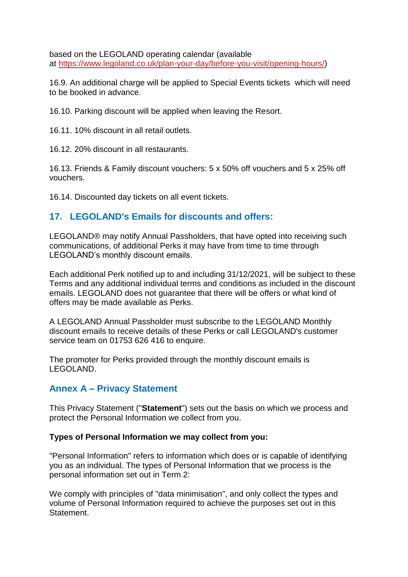based on the LEGOLAND operating calendar (available at [https://www.legoland.co.uk/plan-your-day/before-you-visit/opening-hours/\)](https://www.legoland.co.uk/plan-your-day/before-you-visit/opening-hours/)

16.9. An additional charge will be applied to Special Events tickets which will need to be booked in advance.

16.10. Parking discount will be applied when leaving the Resort.

16.11. 10% discount in all retail outlets.

16.12. 20% discount in all restaurants.

16.13. Friends & Family discount vouchers: 5 x 50% off vouchers and 5 x 25% off vouchers.

16.14. Discounted day tickets on all event tickets.

#### **17. LEGOLAND's Emails for discounts and offers:**

LEGOLAND® may notify Annual Passholders, that have opted into receiving such communications, of additional Perks it may have from time to time through LEGOLAND's monthly discount emails.

Each additional Perk notified up to and including 31/12/2021, will be subject to these Terms and any additional individual terms and conditions as included in the discount emails. LEGOLAND does not guarantee that there will be offers or what kind of offers may be made available as Perks.

A LEGOLAND Annual Passholder must subscribe to the LEGOLAND Monthly discount emails to receive details of these Perks or call LEGOLAND's customer service team on 01753 626 416 to enquire.

The promoter for Perks provided through the monthly discount emails is LEGOLAND.

### **Annex A – Privacy Statement**

This Privacy Statement ("**Statement**") sets out the basis on which we process and protect the Personal Information we collect from you.

#### **Types of Personal Information we may collect from you:**

"Personal Information" refers to information which does or is capable of identifying you as an individual. The types of Personal Information that we process is the personal information set out in Term 2:

We comply with principles of "data minimisation", and only collect the types and volume of Personal Information required to achieve the purposes set out in this Statement.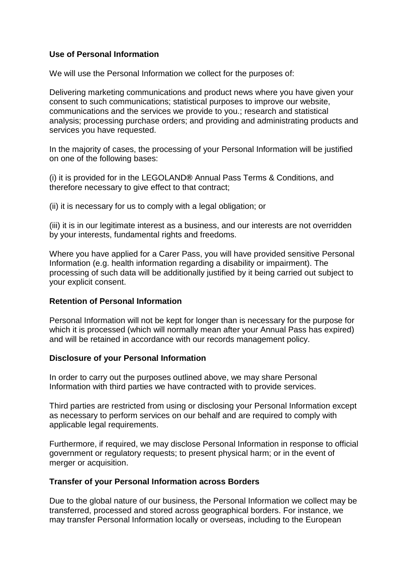#### **Use of Personal Information**

We will use the Personal Information we collect for the purposes of:

Delivering marketing communications and product news where you have given your consent to such communications; statistical purposes to improve our website, communications and the services we provide to you.; research and statistical analysis; processing purchase orders; and providing and administrating products and services you have requested.

In the majority of cases, the processing of your Personal Information will be justified on one of the following bases:

(i) it is provided for in the LEGOLAND**®** Annual Pass Terms & Conditions, and therefore necessary to give effect to that contract;

(ii) it is necessary for us to comply with a legal obligation; or

(iii) it is in our legitimate interest as a business, and our interests are not overridden by your interests, fundamental rights and freedoms.

Where you have applied for a Carer Pass, you will have provided sensitive Personal Information (e.g. health information regarding a disability or impairment). The processing of such data will be additionally justified by it being carried out subject to your explicit consent.

#### **Retention of Personal Information**

Personal Information will not be kept for longer than is necessary for the purpose for which it is processed (which will normally mean after your Annual Pass has expired) and will be retained in accordance with our records management policy.

#### **Disclosure of your Personal Information**

In order to carry out the purposes outlined above, we may share Personal Information with third parties we have contracted with to provide services.

Third parties are restricted from using or disclosing your Personal Information except as necessary to perform services on our behalf and are required to comply with applicable legal requirements.

Furthermore, if required, we may disclose Personal Information in response to official government or regulatory requests; to present physical harm; or in the event of merger or acquisition.

#### **Transfer of your Personal Information across Borders**

Due to the global nature of our business, the Personal Information we collect may be transferred, processed and stored across geographical borders. For instance, we may transfer Personal Information locally or overseas, including to the European